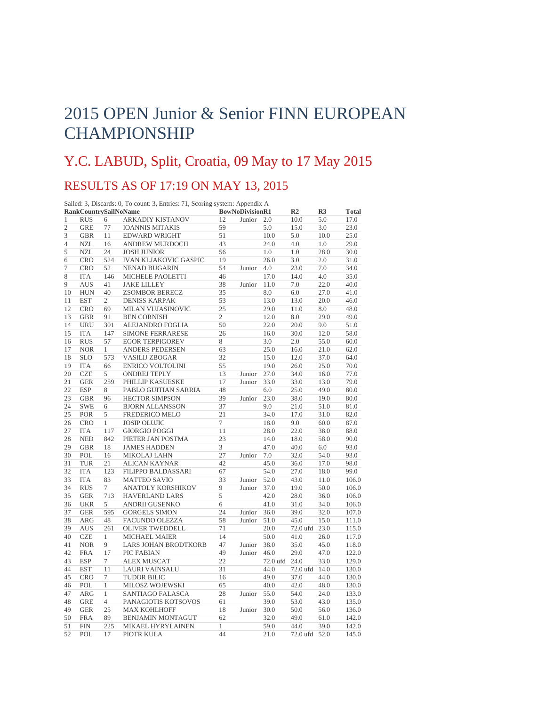## 2015 OPEN Junior & Senior FINN EUROPEAN **CHAMPIONSHIP**

## Y.C. LABUD, Split, Croatia, 09 May to 17 May 2015

## RESULTS AS OF 17:19 ON MAY 13, 2015

|                | <b>RankCountrySailNoName</b> |                | Sailed: 3, Discards: 0, To count: 3, Entries: 71, Scoring system: Appendix A | <b>BowNoDivisionR1</b> |        |          | R <sub>2</sub> | R3   | <b>Total</b> |
|----------------|------------------------------|----------------|------------------------------------------------------------------------------|------------------------|--------|----------|----------------|------|--------------|
| $\mathbf{1}$   | <b>RUS</b>                   | 6              | <b>ARKADIY KISTANOV</b>                                                      | 12                     | Junior | 2.0      | 10.0           | 5.0  | 17.0         |
| $\overline{c}$ | <b>GRE</b>                   | 77             | <b>IOANNIS MITAKIS</b>                                                       | 59                     |        | 5.0      | 15.0           | 3.0  | 23.0         |
| 3              | <b>GBR</b>                   | 11             | <b>EDWARD WRIGHT</b>                                                         | 51                     |        | 10.0     | 5.0            | 10.0 | 25.0         |
| $\overline{4}$ | <b>NZL</b>                   | 16             | ANDREW MURDOCH                                                               | 43                     |        | 24.0     | 4.0            | 1.0  | 29.0         |
| 5              | <b>NZL</b>                   | 24             | <b>JOSH JUNIOR</b>                                                           | 56                     |        | 1.0      | 1.0            | 28.0 | 30.0         |
| 6              | <b>CRO</b>                   | 524            | <b>IVAN KLJAKOVIC GASPIC</b>                                                 | 19                     |        | 26.0     | 3.0            | 2.0  | 31.0         |
| $\overline{7}$ | <b>CRO</b>                   | 52             | <b>NENAD BUGARIN</b>                                                         | 54                     | Junior | 4.0      | 23.0           | 7.0  | 34.0         |
| 8              | <b>ITA</b>                   | 146            | MICHELE PAOLETTI                                                             | 46                     |        | 17.0     | 14.0           | 4.0  | 35.0         |
| 9              | <b>AUS</b>                   | 41             | <b>JAKE LILLEY</b>                                                           | 38                     | Junior | 11.0     | 7.0            | 22.0 | 40.0         |
| 10             | <b>HUN</b>                   | 40             | <b>ZSOMBOR BERECZ</b>                                                        | 35                     |        | 8.0      | 6.0            | 27.0 | 41.0         |
| 11             | <b>EST</b>                   | $\overline{2}$ | <b>DENISS KARPAK</b>                                                         | 53                     |        | 13.0     | 13.0           | 20.0 | 46.0         |
| 12             | <b>CRO</b>                   | 69             | MILAN VUJASINOVIC                                                            | 25                     |        | 29.0     | 11.0           | 8.0  | 48.0         |
| 13             | <b>GBR</b>                   | 91             | <b>BEN CORNISH</b>                                                           | $\mathfrak{2}$         |        | 12.0     | 8.0            | 29.0 | 49.0         |
| 14             | <b>URU</b>                   | 301            | <b>ALEJANDRO FOGLIA</b>                                                      | 50                     |        | 22.0     | 20.0           | 9.0  | 51.0         |
| 15             | <b>ITA</b>                   | 147            | <b>SIMONE FERRARESE</b>                                                      | 26                     |        | 16.0     | 30.0           | 12.0 | 58.0         |
| 16             | <b>RUS</b>                   | 57             | <b>EGOR TERPIGOREV</b>                                                       | 8                      |        | 3.0      | 2.0            | 55.0 | 60.0         |
| 17             | <b>NOR</b>                   | $\mathbf{1}$   | <b>ANDERS PEDERSEN</b>                                                       | 63                     |        | 25.0     | 16.0           | 21.0 | 62.0         |
| 18             | <b>SLO</b>                   | 573            | <b>VASILIJ ZBOGAR</b>                                                        | 32                     |        | 15.0     | 12.0           | 37.0 | 64.0         |
| 19             | <b>ITA</b>                   | 66             | <b>ENRICO VOLTOLINI</b>                                                      | 55                     |        | 19.0     | 26.0           | 25.0 | 70.0         |
| 20             | <b>CZE</b>                   | 5              | <b>ONDREJ TEPLY</b>                                                          | 13                     | Junior | 27.0     | 34.0           | 16.0 | 77.0         |
| 21             | <b>GER</b>                   | 259            | PHILLIP KASUESKE                                                             | 17                     | Junior | 33.0     | 33.0           | 13.0 | 79.0         |
| 22             | <b>ESP</b>                   | 8              | PABLO GUITIAN SARRIA                                                         | 48                     |        | 6.0      | 25.0           | 49.0 | 80.0         |
| 23             | <b>GBR</b>                   | 96             | <b>HECTOR SIMPSON</b>                                                        | 39                     | Junior | 23.0     | 38.0           | 19.0 | 80.0         |
| 24             | <b>SWE</b>                   | 6              | <b>BJORN ALLANSSON</b>                                                       | 37                     |        | 9.0      | 21.0           | 51.0 | 81.0         |
| 25             | <b>POR</b>                   | 5              | FREDERICO MELO                                                               | 21                     |        | 34.0     | 17.0           | 31.0 | 82.0         |
| 26             | <b>CRO</b>                   | $\mathbf{1}$   | <b>JOSIP OLUJIC</b>                                                          | $\overline{7}$         |        | 18.0     | 9.0            | 60.0 | 87.0         |
| 27             | <b>ITA</b>                   | 117            | <b>GIORGIO POGGI</b>                                                         | 11                     |        | 28.0     | 22.0           | 38.0 | 88.0         |
| 28             | <b>NED</b>                   | 842            | PIETER JAN POSTMA                                                            | 23                     |        | 14.0     | 18.0           | 58.0 | 90.0         |
| 29             | <b>GBR</b>                   | 18             | <b>JAMES HADDEN</b>                                                          | 3                      |        | 47.0     | 40.0           | 6.0  | 93.0         |
| 30             | POL                          | 16             | <b>MIKOLAJ LAHN</b>                                                          | 27                     | Junior | 7.0      | 32.0           | 54.0 | 93.0         |
| 31             | <b>TUR</b>                   | 21             | ALICAN KAYNAR                                                                | 42                     |        | 45.0     | 36.0           | 17.0 | 98.0         |
| 32             | <b>ITA</b>                   | 123            | FILIPPO BALDASSARI                                                           | 67                     |        | 54.0     | 27.0           | 18.0 | 99.0         |
| 33             | <b>ITA</b>                   | 83             | <b>MATTEO SAVIO</b>                                                          | 33                     | Junior | 52.0     | 43.0           | 11.0 | 106.0        |
| 34             | <b>RUS</b>                   | $\tau$         | ANATOLY KORSHIKOV                                                            | 9                      | Junior | 37.0     | 19.0           | 50.0 | 106.0        |
| 35             | <b>GER</b>                   | 713            | <b>HAVERLAND LARS</b>                                                        | 5                      |        | 42.0     | 28.0           | 36.0 | 106.0        |
| 36             | <b>UKR</b>                   | 5              | <b>ANDRII GUSENKO</b>                                                        | 6                      |        | 41.0     | 31.0           | 34.0 | 106.0        |
| 37             | <b>GER</b>                   | 595            | <b>GORGELS SIMON</b>                                                         | 24                     | Junior | 36.0     | 39.0           | 32.0 | 107.0        |
| 38             | <b>ARG</b>                   | 48             | <b>FACUNDO OLEZZA</b>                                                        | 58                     | Junior | 51.0     | 45.0           | 15.0 | 111.0        |
| 39             | <b>AUS</b>                   | 261            | <b>OLIVER TWEDDELL</b>                                                       | 71                     |        | 20.0     | 72.0 ufd       | 23.0 | 115.0        |
| 40             | <b>CZE</b>                   | 1              | <b>MICHAEL MAIER</b>                                                         | 14                     |        | 50.0     | 41.0           | 26.0 | 117.0        |
| 41             | <b>NOR</b>                   | 9              | <b>LARS JOHAN BRODTKORB</b>                                                  | 47                     | Junior | 38.0     | 35.0           | 45.0 | 118.0        |
| 42             | <b>FRA</b>                   | 17             | PIC FABIAN                                                                   | 49                     | Junior | 46.0     | 29.0           | 47.0 | 122.0        |
| 43             | <b>ESP</b>                   | 7              | <b>ALEX MUSCAT</b>                                                           | 22                     |        | 72.0 ufd | 24.0           | 33.0 | 129.0        |
| 44             | <b>EST</b>                   | 11             | <b>LAURI VAINSALU</b>                                                        | 31                     |        | 44.0     | 72.0 ufd       | 14.0 | 130.0        |
| 45             | <b>CRO</b>                   | $\tau$         | <b>TUDOR BILIC</b>                                                           | 16                     |        | 49.0     | 37.0           | 44.0 | 130.0        |
| 46             | POL                          | $\mathbf{1}$   | MILOSZ WOJEWSKI                                                              | 65                     |        | 40.0     | 42.0           | 48.0 | 130.0        |
| 47             | <b>ARG</b>                   | $\mathbf{1}$   | SANTIAGO FALASCA                                                             | 28                     | Junior | 55.0     | 54.0           | 24.0 | 133.0        |
| 48             | <b>GRE</b>                   | $\overline{4}$ | PANAGIOTIS KOTSOVOS                                                          | 61                     |        | 39.0     | 53.0           | 43.0 | 135.0        |
| 49             | <b>GER</b>                   | 25             | <b>MAX KOHLHOFF</b>                                                          | 18                     | Junior | 30.0     | 50.0           | 56.0 | 136.0        |
| 50             | <b>FRA</b>                   | 89             | <b>BENJAMIN MONTAGUT</b>                                                     | 62                     |        | 32.0     | 49.0           | 61.0 | 142.0        |
| 51             | <b>FIN</b>                   | 225            | MIKAEL HYRYLAINEN                                                            | $\mathbf{1}$           |        | 59.0     | 44.0           | 39.0 | 142.0        |
|                |                              |                |                                                                              | 44                     |        |          |                |      |              |
| 52             | POL                          | 17             | PIOTR KULA                                                                   |                        |        | 21.0     | 72.0 ufd       | 52.0 | 145.0        |